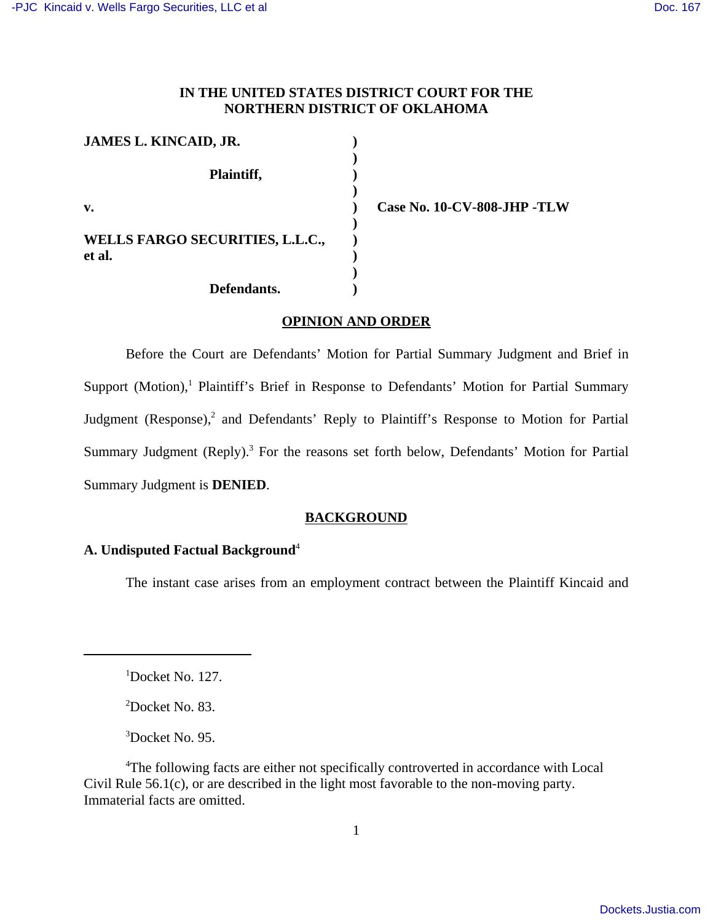## **IN THE UNITED STATES DISTRICT COURT FOR THE NORTHERN DISTRICT OF OKLAHOMA**

| <b>JAMES L. KINCAID, JR.</b>              |  |
|-------------------------------------------|--|
| Plaintiff,                                |  |
| $\mathbf{v}$ .                            |  |
| WELLS FARGO SECURITIES, L.L.C.,<br>et al. |  |
| Defendants.                               |  |

**v. ) Case No. 10-CV-808-JHP -TLW** 

### **OPINION AND ORDER**

Before the Court are Defendants' Motion for Partial Summary Judgment and Brief in Support (Motion),<sup>1</sup> Plaintiff's Brief in Response to Defendants' Motion for Partial Summary Judgment (Response),<sup>2</sup> and Defendants' Reply to Plaintiff's Response to Motion for Partial Summary Judgment (Reply).<sup>3</sup> For the reasons set forth below, Defendants' Motion for Partial Summary Judgment is **DENIED**.

## **BACKGROUND**

# **A. Undisputed Factual Background**<sup>4</sup>

The instant case arises from an employment contract between the Plaintiff Kincaid and

<sup>1</sup>Docket No. 127.

<sup>2</sup>Docket No. 83.

<sup>3</sup>Docket No. 95.

<sup>4</sup>The following facts are either not specifically controverted in accordance with Local Civil Rule 56.1(c), or are described in the light most favorable to the non-moving party. Immaterial facts are omitted.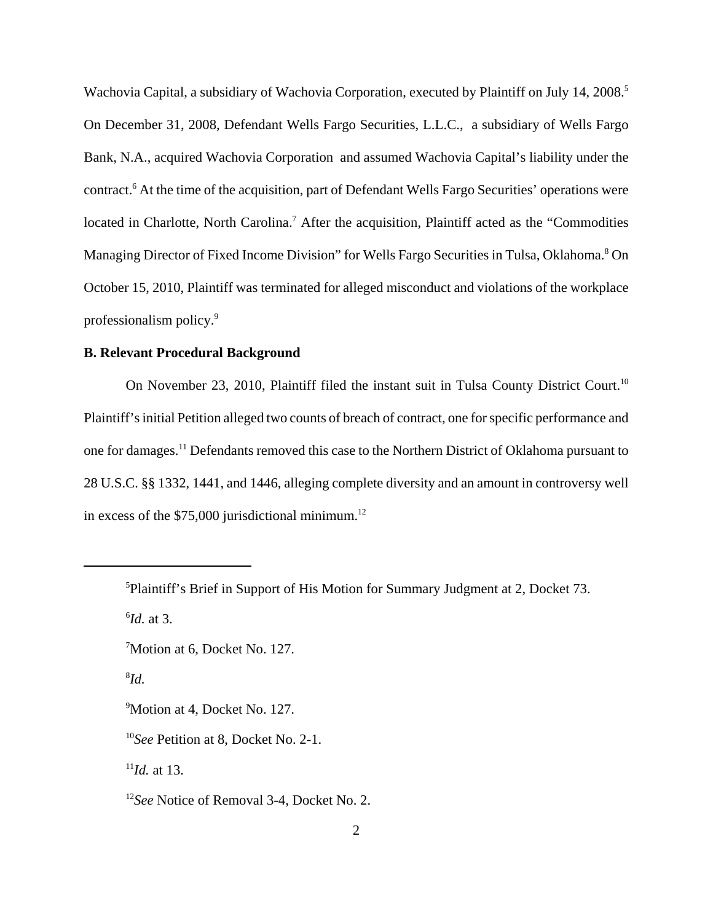Wachovia Capital, a subsidiary of Wachovia Corporation, executed by Plaintiff on July 14, 2008.<sup>5</sup> On December 31, 2008, Defendant Wells Fargo Securities, L.L.C., a subsidiary of Wells Fargo Bank, N.A., acquired Wachovia Corporation and assumed Wachovia Capital's liability under the contract.<sup>6</sup> At the time of the acquisition, part of Defendant Wells Fargo Securities' operations were located in Charlotte, North Carolina.<sup>7</sup> After the acquisition, Plaintiff acted as the "Commodities Managing Director of Fixed Income Division" for Wells Fargo Securities in Tulsa, Oklahoma.<sup>8</sup> On October 15, 2010, Plaintiff was terminated for alleged misconduct and violations of the workplace professionalism policy.<sup>9</sup>

## **B. Relevant Procedural Background**

On November 23, 2010, Plaintiff filed the instant suit in Tulsa County District Court.<sup>10</sup> Plaintiff's initial Petition alleged two counts of breach of contract, one for specific performance and one for damages.<sup>11</sup> Defendants removed this case to the Northern District of Oklahoma pursuant to 28 U.S.C. §§ 1332, 1441, and 1446, alleging complete diversity and an amount in controversy well in excess of the  $$75,000$  jurisdictional minimum.<sup>12</sup>

8 *Id.*

<sup>9</sup>Motion at 4, Docket No. 127.

 $11$ *Id.* at 13.

<sup>5</sup>Plaintiff's Brief in Support of His Motion for Summary Judgment at 2, Docket 73. 6 *Id.* at 3.

<sup>7</sup>Motion at 6, Docket No. 127.

<sup>10</sup>*See* Petition at 8, Docket No. 2-1.

<sup>12</sup>*See* Notice of Removal 3-4, Docket No. 2.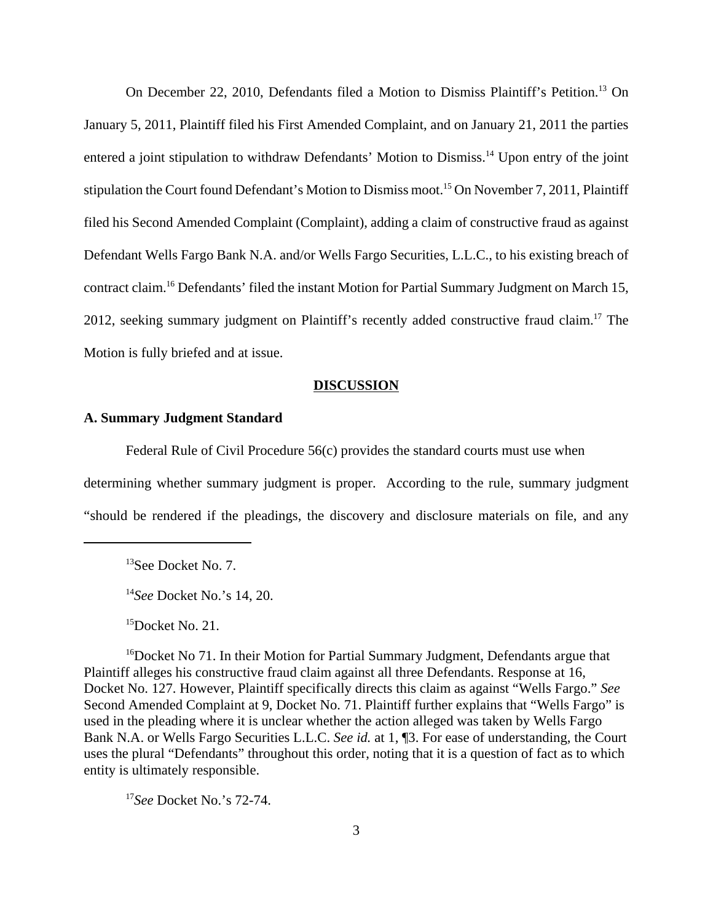On December 22, 2010, Defendants filed a Motion to Dismiss Plaintiff's Petition.<sup>13</sup> On January 5, 2011, Plaintiff filed his First Amended Complaint, and on January 21, 2011 the parties entered a joint stipulation to withdraw Defendants' Motion to Dismiss.<sup>14</sup> Upon entry of the joint stipulation the Court found Defendant's Motion to Dismiss moot.<sup>15</sup> On November 7, 2011, Plaintiff filed his Second Amended Complaint (Complaint), adding a claim of constructive fraud as against Defendant Wells Fargo Bank N.A. and/or Wells Fargo Securities, L.L.C., to his existing breach of contract claim.<sup>16</sup> Defendants' filed the instant Motion for Partial Summary Judgment on March 15, 2012, seeking summary judgment on Plaintiff's recently added constructive fraud claim.<sup>17</sup> The Motion is fully briefed and at issue.

### **DISCUSSION**

## **A. Summary Judgment Standard**

Federal Rule of Civil Procedure 56(c) provides the standard courts must use when determining whether summary judgment is proper. According to the rule, summary judgment "should be rendered if the pleadings, the discovery and disclosure materials on file, and any

 $15$ Docket No. 21.

<sup>16</sup>Docket No 71. In their Motion for Partial Summary Judgment, Defendants argue that Plaintiff alleges his constructive fraud claim against all three Defendants. Response at 16, Docket No. 127. However, Plaintiff specifically directs this claim as against "Wells Fargo." *See* Second Amended Complaint at 9, Docket No. 71. Plaintiff further explains that "Wells Fargo" is used in the pleading where it is unclear whether the action alleged was taken by Wells Fargo Bank N.A. or Wells Fargo Securities L.L.C. *See id.* at 1, ¶3. For ease of understanding, the Court uses the plural "Defendants" throughout this order, noting that it is a question of fact as to which entity is ultimately responsible.

<sup>17</sup>*See* Docket No.'s 72-74.

<sup>&</sup>lt;sup>13</sup>See Docket No. 7.

<sup>14</sup>*See* Docket No.'s 14, 20.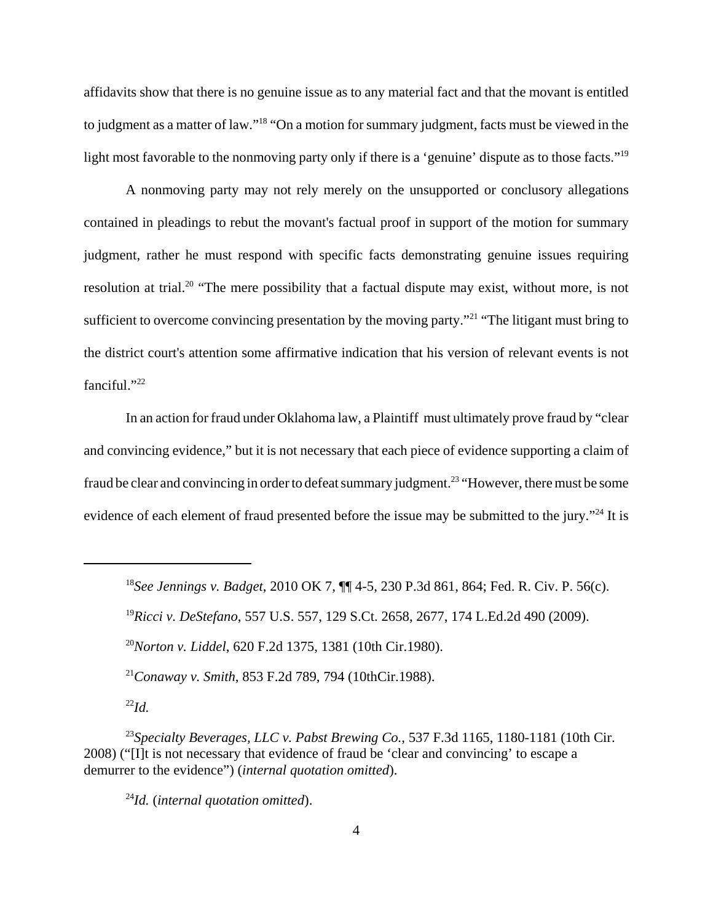affidavits show that there is no genuine issue as to any material fact and that the movant is entitled to judgment as a matter of law."<sup>18</sup> "On a motion for summary judgment, facts must be viewed in the light most favorable to the nonmoving party only if there is a 'genuine' dispute as to those facts."<sup>19</sup>

A nonmoving party may not rely merely on the unsupported or conclusory allegations contained in pleadings to rebut the movant's factual proof in support of the motion for summary judgment, rather he must respond with specific facts demonstrating genuine issues requiring resolution at trial.<sup>20</sup> "The mere possibility that a factual dispute may exist, without more, is not sufficient to overcome convincing presentation by the moving party."<sup>21</sup> "The litigant must bring to the district court's attention some affirmative indication that his version of relevant events is not fanciful."22

In an action for fraud under Oklahoma law, a Plaintiff must ultimately prove fraud by "clear and convincing evidence," but it is not necessary that each piece of evidence supporting a claim of fraud be clear and convincing in order to defeat summary judgment.<sup>23</sup> "However, there must be some evidence of each element of fraud presented before the issue may be submitted to the jury."<sup>24</sup> It is

<sup>18</sup>*See Jennings v. Badget*, 2010 OK 7, ¶¶ 4-5, 230 P.3d 861, 864; Fed. R. Civ. P. 56(c).

<sup>19</sup>*Ricci v. DeStefano*, 557 U.S. 557, 129 S.Ct. 2658, 2677, 174 L.Ed.2d 490 (2009).

<sup>20</sup>*Norton v. Liddel*, 620 F.2d 1375, 1381 (10th Cir.1980).

<sup>21</sup>*Conaway v. Smith*, 853 F.2d 789, 794 (10thCir.1988).

<sup>23</sup>*Specialty Beverages, LLC v. Pabst Brewing Co.*, 537 F.3d 1165, 1180-1181 (10th Cir. 2008) ("[I]t is not necessary that evidence of fraud be 'clear and convincing' to escape a demurrer to the evidence") (*internal quotation omitted*).

<sup>24</sup>*Id.* (*internal quotation omitted*).

<sup>22</sup>*Id.*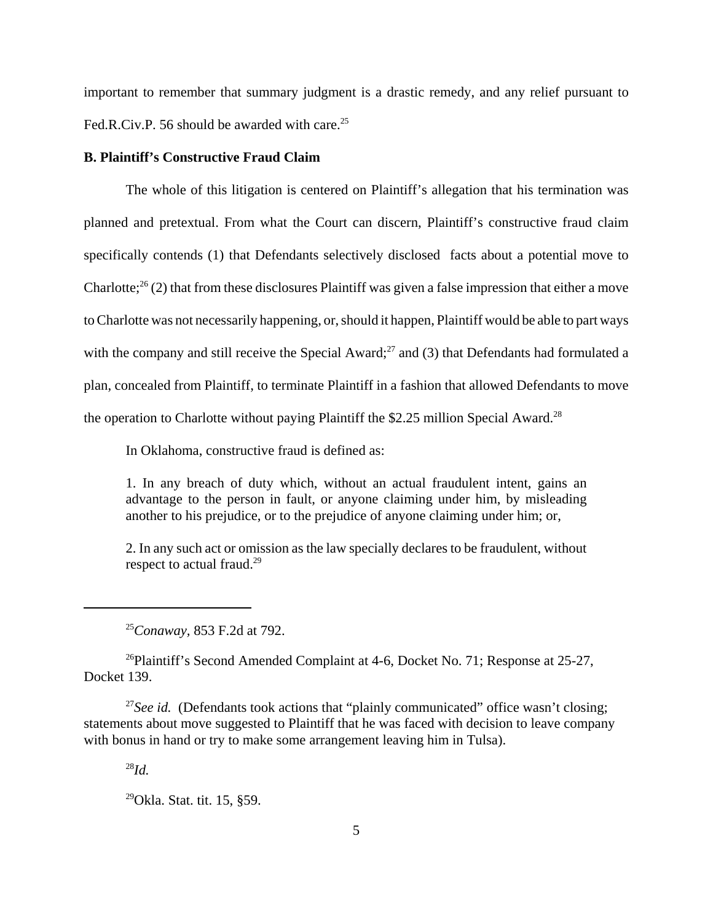important to remember that summary judgment is a drastic remedy, and any relief pursuant to Fed.R.Civ.P. 56 should be awarded with care.<sup>25</sup>

#### **B. Plaintiff's Constructive Fraud Claim**

The whole of this litigation is centered on Plaintiff's allegation that his termination was planned and pretextual. From what the Court can discern, Plaintiff's constructive fraud claim specifically contends (1) that Defendants selectively disclosed facts about a potential move to Charlotte;<sup>26</sup> (2) that from these disclosures Plaintiff was given a false impression that either a move to Charlotte was not necessarily happening, or, should it happen, Plaintiff would be able to part ways with the company and still receive the Special Award;<sup>27</sup> and (3) that Defendants had formulated a plan, concealed from Plaintiff, to terminate Plaintiff in a fashion that allowed Defendants to move the operation to Charlotte without paying Plaintiff the \$2.25 million Special Award.<sup>28</sup>

In Oklahoma, constructive fraud is defined as:

1. In any breach of duty which, without an actual fraudulent intent, gains an advantage to the person in fault, or anyone claiming under him, by misleading another to his prejudice, or to the prejudice of anyone claiming under him; or,

2. In any such act or omission as the law specially declares to be fraudulent, without respect to actual fraud.<sup>29</sup>

<sup>25</sup>*Conaway,* 853 F.2d at 792.

<sup>26</sup>Plaintiff's Second Amended Complaint at 4-6, Docket No. 71; Response at 25-27, Docket 139.

<sup>27</sup>See id. (Defendants took actions that "plainly communicated" office wasn't closing; statements about move suggested to Plaintiff that he was faced with decision to leave company with bonus in hand or try to make some arrangement leaving him in Tulsa).

<sup>28</sup>*Id.*

 $^{29}$ Okla. Stat. tit. 15, §59.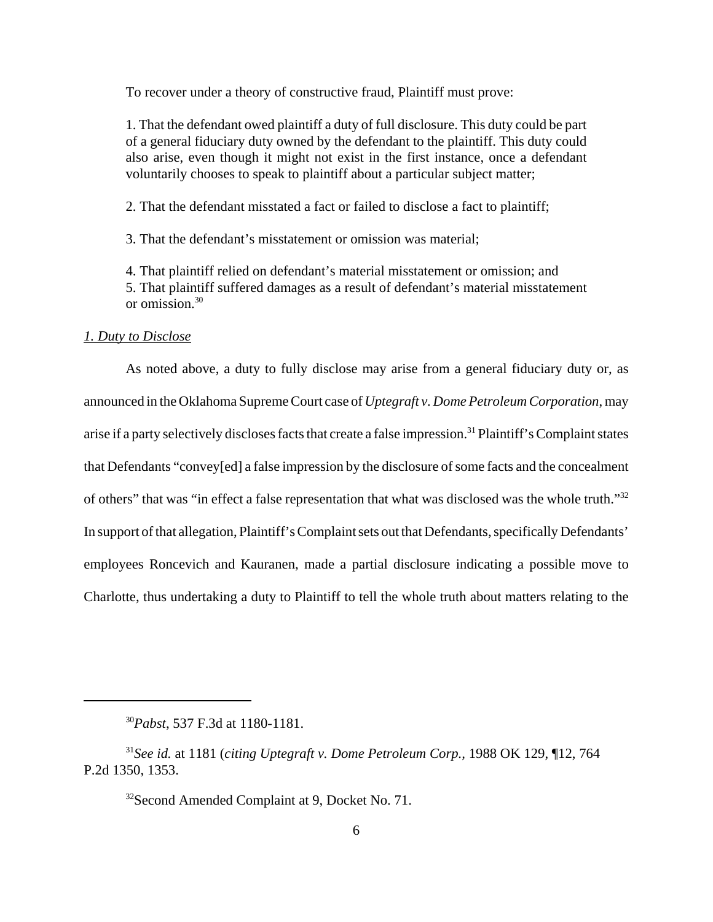To recover under a theory of constructive fraud, Plaintiff must prove:

1. That the defendant owed plaintiff a duty of full disclosure. This duty could be part of a general fiduciary duty owned by the defendant to the plaintiff. This duty could also arise, even though it might not exist in the first instance, once a defendant voluntarily chooses to speak to plaintiff about a particular subject matter;

2. That the defendant misstated a fact or failed to disclose a fact to plaintiff;

3. That the defendant's misstatement or omission was material;

4. That plaintiff relied on defendant's material misstatement or omission; and 5. That plaintiff suffered damages as a result of defendant's material misstatement or omission.<sup>30</sup>

### *1. Duty to Disclose*

As noted above, a duty to fully disclose may arise from a general fiduciary duty or, as announced in the Oklahoma Supreme Court case of *Uptegraft v. Dome Petroleum Corporation*, may arise if a party selectively discloses facts that create a false impression.<sup>31</sup> Plaintiff's Complaint states that Defendants "convey[ed] a false impression by the disclosure of some facts and the concealment of others" that was "in effect a false representation that what was disclosed was the whole truth."<sup>32</sup> In support of that allegation, Plaintiff's Complaint sets out that Defendants, specifically Defendants' employees Roncevich and Kauranen, made a partial disclosure indicating a possible move to Charlotte, thus undertaking a duty to Plaintiff to tell the whole truth about matters relating to the

<sup>30</sup>*Pabst*, 537 F.3d at 1180-1181.

<sup>31</sup>*See id.* at 1181 (*citing Uptegraft v. Dome Petroleum Corp.,* 1988 OK 129, ¶12, 764 P.2d 1350, 1353.

<sup>&</sup>lt;sup>32</sup>Second Amended Complaint at 9, Docket No. 71.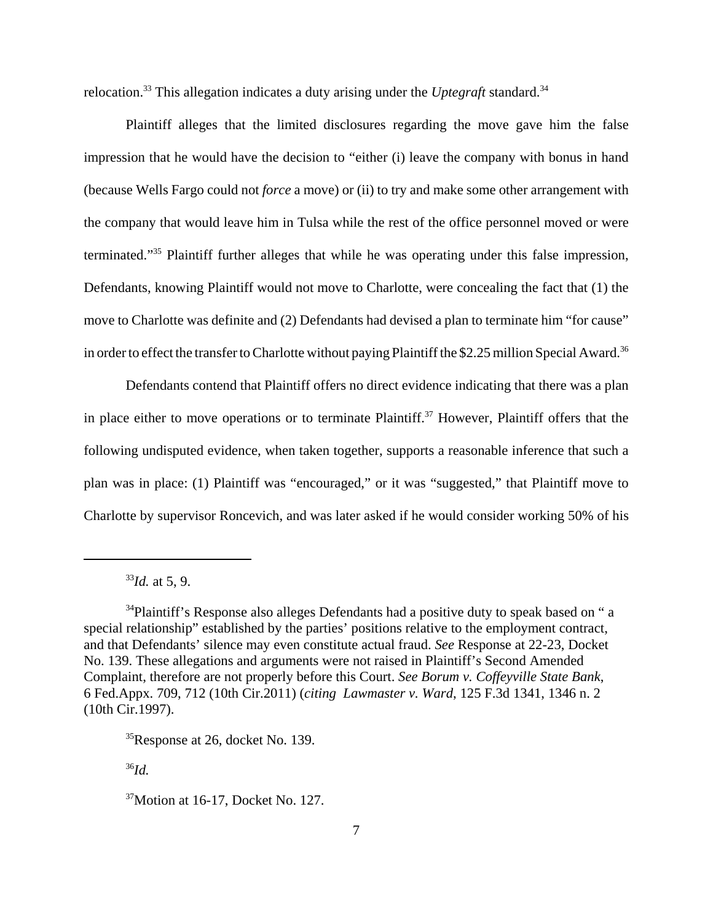relocation.<sup>33</sup> This allegation indicates a duty arising under the *Uptegraft* standard.<sup>34</sup>

Plaintiff alleges that the limited disclosures regarding the move gave him the false impression that he would have the decision to "either (i) leave the company with bonus in hand (because Wells Fargo could not *force* a move) or (ii) to try and make some other arrangement with the company that would leave him in Tulsa while the rest of the office personnel moved or were terminated."<sup>35</sup> Plaintiff further alleges that while he was operating under this false impression, Defendants, knowing Plaintiff would not move to Charlotte, were concealing the fact that (1) the move to Charlotte was definite and (2) Defendants had devised a plan to terminate him "for cause" in order to effect the transfer to Charlotte without paying Plaintiff the \$2.25 million Special Award.<sup>36</sup>

Defendants contend that Plaintiff offers no direct evidence indicating that there was a plan in place either to move operations or to terminate Plaintiff.<sup>37</sup> However, Plaintiff offers that the following undisputed evidence, when taken together, supports a reasonable inference that such a plan was in place: (1) Plaintiff was "encouraged," or it was "suggested," that Plaintiff move to Charlotte by supervisor Roncevich, and was later asked if he would consider working 50% of his

<sup>36</sup>*Id.*

 $33$ *Id.* at 5, 9.

<sup>&</sup>lt;sup>34</sup>Plaintiff's Response also alleges Defendants had a positive duty to speak based on " a special relationship" established by the parties' positions relative to the employment contract, and that Defendants' silence may even constitute actual fraud. *See* Response at 22-23, Docket No. 139. These allegations and arguments were not raised in Plaintiff's Second Amended Complaint, therefore are not properly before this Court. *See Borum v. Coffeyville State Bank*, 6 Fed.Appx. 709, 712 (10th Cir.2011) (*citing Lawmaster v. Ward*, 125 F.3d 1341, 1346 n. 2 (10th Cir.1997).

<sup>&</sup>lt;sup>35</sup>Response at 26, docket No. 139.

<sup>37</sup>Motion at 16-17, Docket No. 127.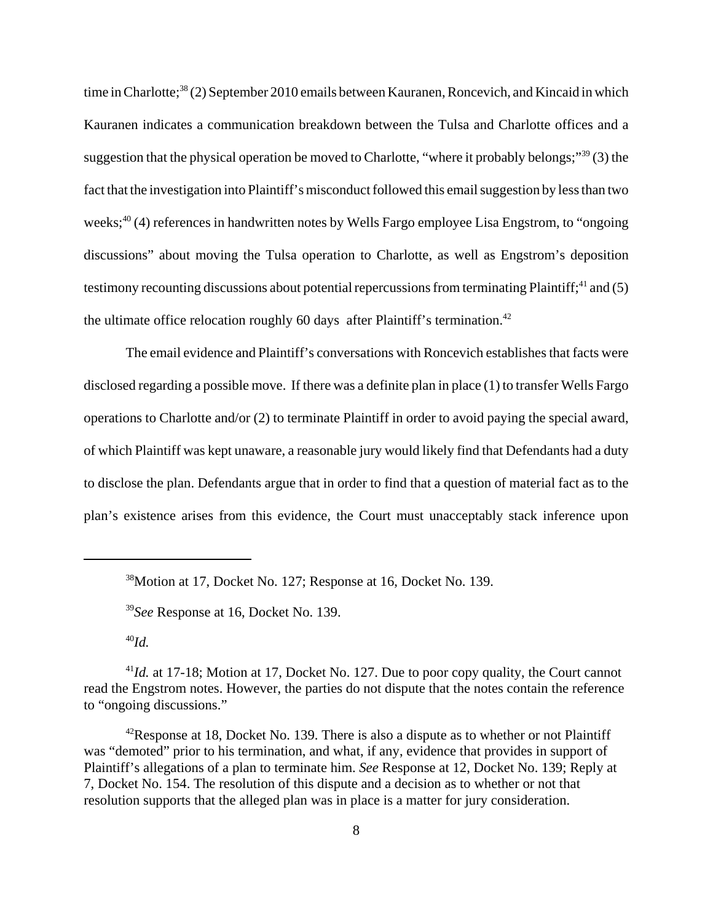time in Charlotte;<sup>38</sup> (2) September 2010 emails between Kauranen, Roncevich, and Kincaid in which Kauranen indicates a communication breakdown between the Tulsa and Charlotte offices and a suggestion that the physical operation be moved to Charlotte, "where it probably belongs;"<sup>39</sup> (3) the fact that the investigation into Plaintiff's misconduct followed this email suggestion by less than two weeks;<sup>40</sup> (4) references in handwritten notes by Wells Fargo employee Lisa Engstrom, to "ongoing" discussions" about moving the Tulsa operation to Charlotte, as well as Engstrom's deposition testimony recounting discussions about potential repercussions from terminating Plaintiff; $41$  and (5) the ultimate office relocation roughly 60 days after Plaintiff's termination.<sup>42</sup>

The email evidence and Plaintiff's conversations with Roncevich establishes that facts were disclosed regarding a possible move. If there was a definite plan in place (1) to transfer Wells Fargo operations to Charlotte and/or (2) to terminate Plaintiff in order to avoid paying the special award, of which Plaintiff was kept unaware, a reasonable jury would likely find that Defendants had a duty to disclose the plan. Defendants argue that in order to find that a question of material fact as to the plan's existence arises from this evidence, the Court must unacceptably stack inference upon

<sup>38</sup>Motion at 17, Docket No. 127; Response at 16, Docket No. 139.

<sup>39</sup>*See* Response at 16, Docket No. 139.

<sup>40</sup>*Id.*

<sup>&</sup>lt;sup>41</sup>*Id.* at 17-18; Motion at 17, Docket No. 127. Due to poor copy quality, the Court cannot read the Engstrom notes. However, the parties do not dispute that the notes contain the reference to "ongoing discussions."

 $42$ Response at 18, Docket No. 139. There is also a dispute as to whether or not Plaintiff was "demoted" prior to his termination, and what, if any, evidence that provides in support of Plaintiff's allegations of a plan to terminate him. *See* Response at 12, Docket No. 139; Reply at 7, Docket No. 154. The resolution of this dispute and a decision as to whether or not that resolution supports that the alleged plan was in place is a matter for jury consideration.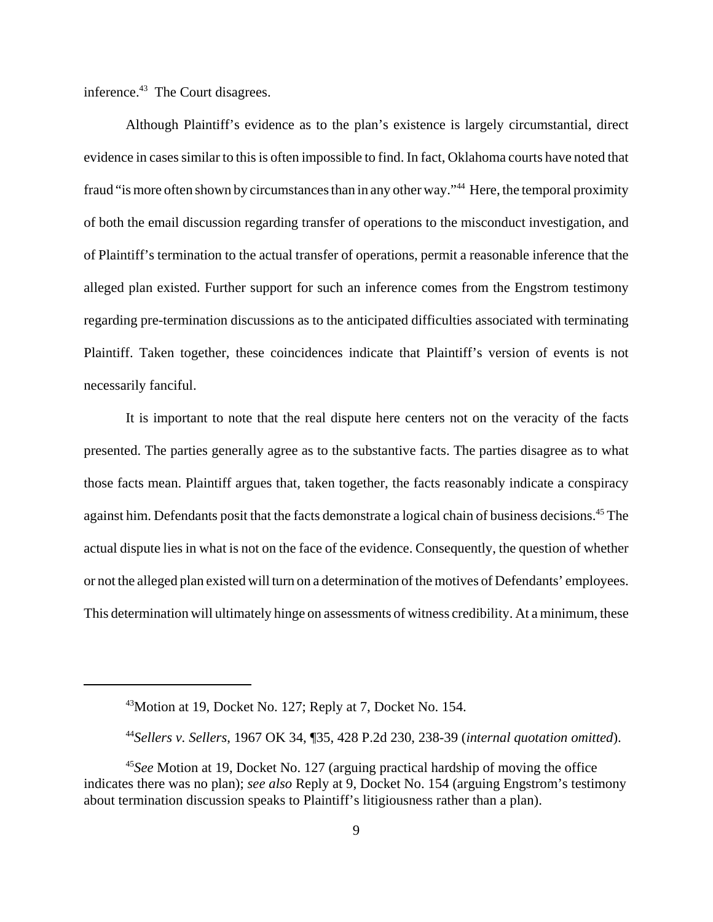inference.<sup>43</sup> The Court disagrees.

Although Plaintiff's evidence as to the plan's existence is largely circumstantial, direct evidence in cases similar to this is often impossible to find. In fact, Oklahoma courts have noted that fraud "is more often shown by circumstances than in any other way."<sup>44</sup> Here, the temporal proximity of both the email discussion regarding transfer of operations to the misconduct investigation, and of Plaintiff's termination to the actual transfer of operations, permit a reasonable inference that the alleged plan existed. Further support for such an inference comes from the Engstrom testimony regarding pre-termination discussions as to the anticipated difficulties associated with terminating Plaintiff. Taken together, these coincidences indicate that Plaintiff's version of events is not necessarily fanciful.

It is important to note that the real dispute here centers not on the veracity of the facts presented. The parties generally agree as to the substantive facts. The parties disagree as to what those facts mean. Plaintiff argues that, taken together, the facts reasonably indicate a conspiracy against him. Defendants posit that the facts demonstrate a logical chain of business decisions.<sup>45</sup> The actual dispute lies in what is not on the face of the evidence. Consequently, the question of whether or not the alleged plan existed will turn on a determination of the motives of Defendants' employees. This determination will ultimately hinge on assessments of witness credibility. At a minimum, these

<sup>43</sup>Motion at 19, Docket No. 127; Reply at 7, Docket No. 154.

<sup>44</sup>*Sellers v. Sellers*, 1967 OK 34, ¶35, 428 P.2d 230, 238-39 (*internal quotation omitted*).

<sup>45</sup>*See* Motion at 19, Docket No. 127 (arguing practical hardship of moving the office indicates there was no plan); *see also* Reply at 9, Docket No. 154 (arguing Engstrom's testimony about termination discussion speaks to Plaintiff's litigiousness rather than a plan).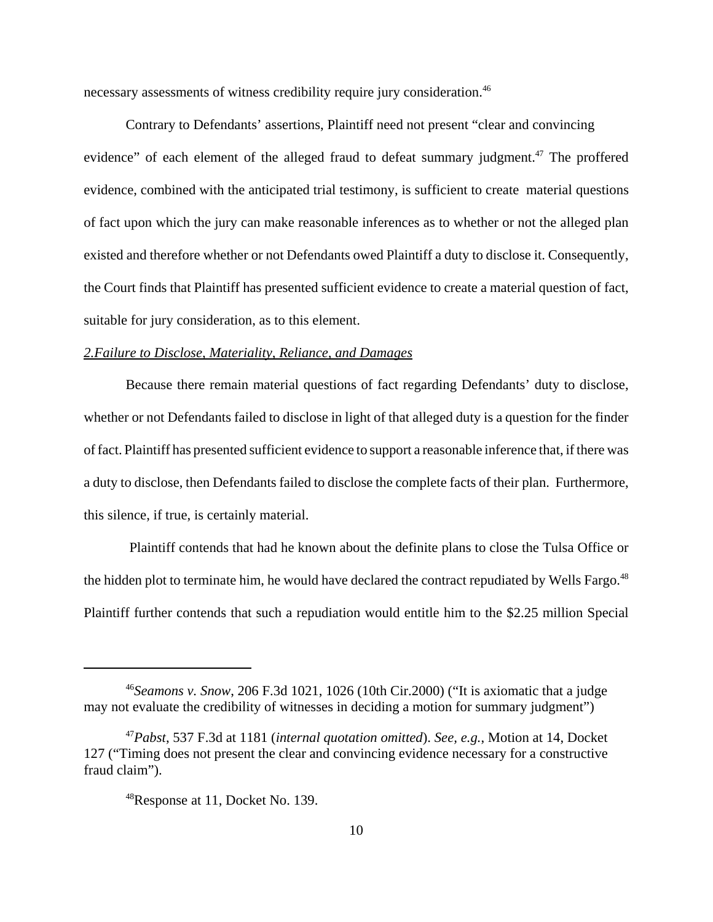necessary assessments of witness credibility require jury consideration.<sup>46</sup>

Contrary to Defendants' assertions, Plaintiff need not present "clear and convincing evidence" of each element of the alleged fraud to defeat summary judgment.<sup>47</sup> The proffered evidence, combined with the anticipated trial testimony, is sufficient to create material questions of fact upon which the jury can make reasonable inferences as to whether or not the alleged plan existed and therefore whether or not Defendants owed Plaintiff a duty to disclose it. Consequently, the Court finds that Plaintiff has presented sufficient evidence to create a material question of fact, suitable for jury consideration, as to this element.

## *2.Failure to Disclose, Materiality, Reliance, and Damages*

Because there remain material questions of fact regarding Defendants' duty to disclose, whether or not Defendants failed to disclose in light of that alleged duty is a question for the finder of fact. Plaintiff has presented sufficient evidence to support a reasonable inference that, if there was a duty to disclose, then Defendants failed to disclose the complete facts of their plan. Furthermore, this silence, if true, is certainly material.

 Plaintiff contends that had he known about the definite plans to close the Tulsa Office or the hidden plot to terminate him, he would have declared the contract repudiated by Wells Fargo.<sup>48</sup> Plaintiff further contends that such a repudiation would entitle him to the \$2.25 million Special

<sup>46</sup>*Seamons v. Snow*, 206 F.3d 1021, 1026 (10th Cir.2000) ("It is axiomatic that a judge may not evaluate the credibility of witnesses in deciding a motion for summary judgment")

<sup>47</sup>*Pabst*, 537 F.3d at 1181 (*internal quotation omitted*). *See, e.g.*, Motion at 14, Docket 127 ("Timing does not present the clear and convincing evidence necessary for a constructive fraud claim").

<sup>48</sup>Response at 11, Docket No. 139.